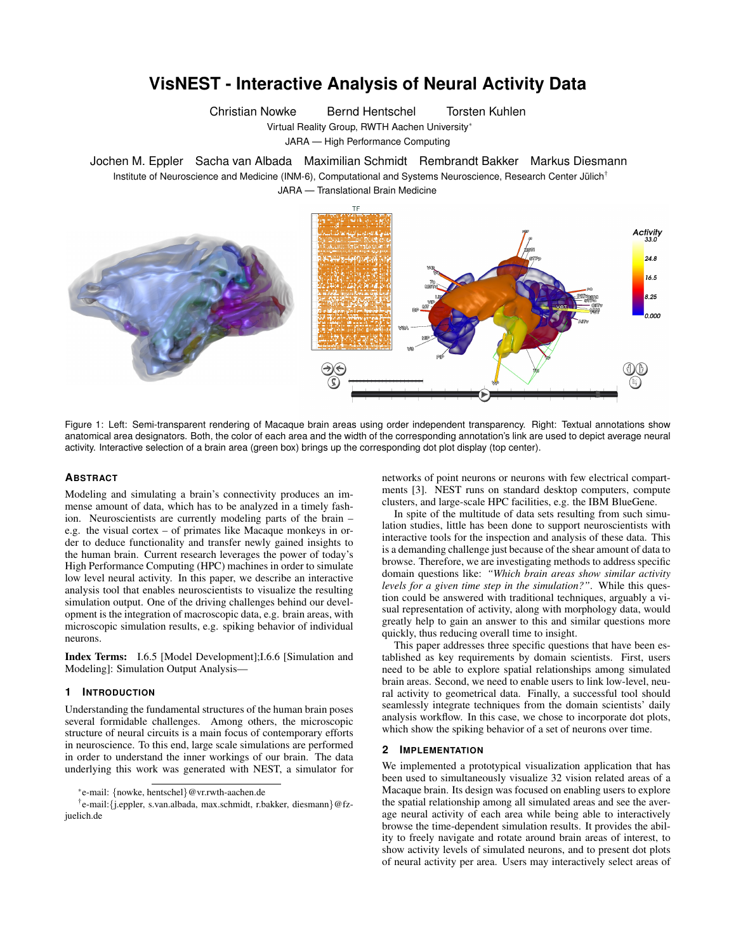# **VisNEST - Interactive Analysis of Neural Activity Data**

Christian Nowke Bernd Hentschel Torsten Kuhlen

Virtual Reality Group, RWTH Aachen University<sup>∗</sup>

JARA — High Performance Computing

Jochen M. Eppler Sacha van Albada Maximilian Schmidt Rembrandt Bakker Markus Diesmann Institute of Neuroscience and Medicine (INM-6), Computational and Systems Neuroscience, Research Center Jülich<sup>†</sup> JARA — Translational Brain Medicine



Figure 1: Left: Semi-transparent rendering of Macaque brain areas using order independent transparency. Right: Textual annotations show anatomical area designators. Both, the color of each area and the width of the corresponding annotation's link are used to depict average neural activity. Interactive selection of a brain area (green box) brings up the corresponding dot plot display (top center).

#### **ABSTRACT**

Modeling and simulating a brain's connectivity produces an immense amount of data, which has to be analyzed in a timely fashion. Neuroscientists are currently modeling parts of the brain – e.g. the visual cortex – of primates like Macaque monkeys in order to deduce functionality and transfer newly gained insights to the human brain. Current research leverages the power of today's High Performance Computing (HPC) machines in order to simulate low level neural activity. In this paper, we describe an interactive analysis tool that enables neuroscientists to visualize the resulting simulation output. One of the driving challenges behind our development is the integration of macroscopic data, e.g. brain areas, with microscopic simulation results, e.g. spiking behavior of individual neurons.

Index Terms: I.6.5 [Model Development];I.6.6 [Simulation and Modeling]: Simulation Output Analysis—

# **1 INTRODUCTION**

Understanding the fundamental structures of the human brain poses several formidable challenges. Among others, the microscopic structure of neural circuits is a main focus of contemporary efforts in neuroscience. To this end, large scale simulations are performed in order to understand the inner workings of our brain. The data underlying this work was generated with NEST, a simulator for

† e-mail:{j.eppler, s.van.albada, max.schmidt, r.bakker, diesmann}@fzjuelich.de

networks of point neurons or neurons with few electrical compartments [3]. NEST runs on standard desktop computers, compute clusters, and large-scale HPC facilities, e.g. the IBM BlueGene.

In spite of the multitude of data sets resulting from such simulation studies, little has been done to support neuroscientists with interactive tools for the inspection and analysis of these data. This is a demanding challenge just because of the shear amount of data to browse. Therefore, we are investigating methods to address specific domain questions like: *"Which brain areas show similar activity levels for a given time step in the simulation?"*. While this question could be answered with traditional techniques, arguably a visual representation of activity, along with morphology data, would greatly help to gain an answer to this and similar questions more quickly, thus reducing overall time to insight.

This paper addresses three specific questions that have been established as key requirements by domain scientists. First, users need to be able to explore spatial relationships among simulated brain areas. Second, we need to enable users to link low-level, neural activity to geometrical data. Finally, a successful tool should seamlessly integrate techniques from the domain scientists' daily analysis workflow. In this case, we chose to incorporate dot plots, which show the spiking behavior of a set of neurons over time.

#### **2 IMPLEMENTATION**

We implemented a prototypical visualization application that has been used to simultaneously visualize 32 vision related areas of a Macaque brain. Its design was focused on enabling users to explore the spatial relationship among all simulated areas and see the average neural activity of each area while being able to interactively browse the time-dependent simulation results. It provides the ability to freely navigate and rotate around brain areas of interest, to show activity levels of simulated neurons, and to present dot plots of neural activity per area. Users may interactively select areas of

<sup>∗</sup> e-mail: {nowke, hentschel}@vr.rwth-aachen.de